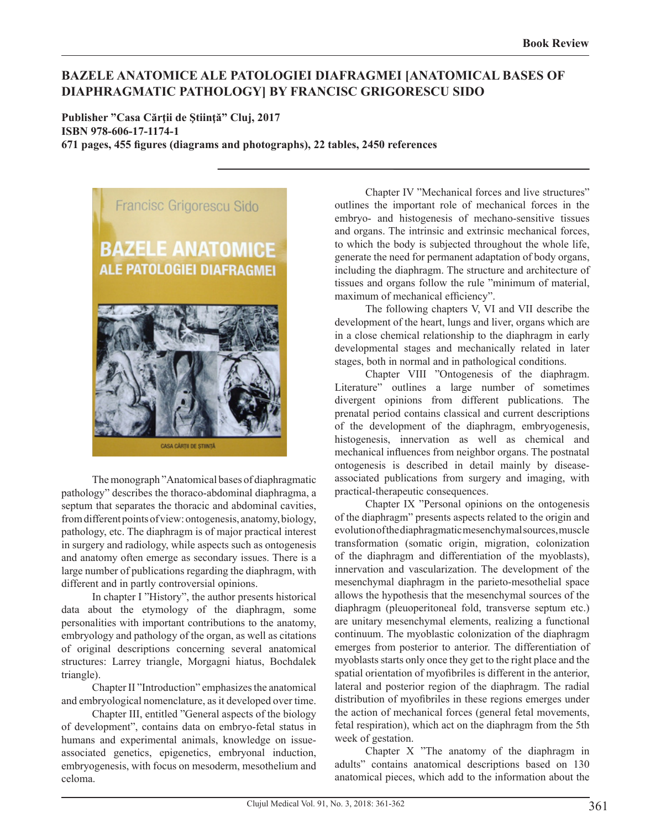## **BAZELE ANATOMICE ALE PATOLOGIEI DIAFRAGMEI [ANATOMICAL BASES OF DIAPHRAGMATIC PATHOLOGY] BY FRANCISC GRIGORESCU SIDO**

**Publisher "Casa Cărţii de Ştiinţă" Cluj, 2017 ISBN 978-606-17-1174-1 671 pages, 455 figures (diagrams and photographs), 22 tables, 2450 references**



The monograph "Anatomical bases of diaphragmatic pathology" describes the thoraco-abdominal diaphragma, a septum that separates the thoracic and abdominal cavities, from different points of view: ontogenesis, anatomy, biology, pathology, etc. The diaphragm is of major practical interest in surgery and radiology, while aspects such as ontogenesis and anatomy often emerge as secondary issues. There is a large number of publications regarding the diaphragm, with different and in partly controversial opinions.

In chapter I "History", the author presents historical data about the etymology of the diaphragm, some personalities with important contributions to the anatomy, embryology and pathology of the organ, as well as citations of original descriptions concerning several anatomical structures: Larrey triangle, Morgagni hiatus, Bochdalek triangle).

Chapter II "Introduction" emphasizes the anatomical and embryological nomenclature, as it developed over time.

Chapter III, entitled "General aspects of the biology of development", contains data on embryo-fetal status in humans and experimental animals, knowledge on issueassociated genetics, epigenetics, embryonal induction, embryogenesis, with focus on mesoderm, mesothelium and celoma.

Chapter IV "Mechanical forces and live structures" outlines the important role of mechanical forces in the embryo- and histogenesis of mechano-sensitive tissues and organs. The intrinsic and extrinsic mechanical forces, to which the body is subjected throughout the whole life, generate the need for permanent adaptation of body organs, including the diaphragm. The structure and architecture of tissues and organs follow the rule "minimum of material, maximum of mechanical efficiency".

The following chapters V, VI and VII describe the development of the heart, lungs and liver, organs which are in a close chemical relationship to the diaphragm in early developmental stages and mechanically related in later stages, both in normal and in pathological conditions.

Chapter VIII "Ontogenesis of the diaphragm. Literature" outlines a large number of sometimes divergent opinions from different publications. The prenatal period contains classical and current descriptions of the development of the diaphragm, embryogenesis, histogenesis, innervation as well as chemical and mechanical influences from neighbor organs. The postnatal ontogenesis is described in detail mainly by diseaseassociated publications from surgery and imaging, with practical-therapeutic consequences.

Chapter IX "Personal opinions on the ontogenesis of the diaphragm" presents aspects related to the origin and evolution of the diaphragmatic mesenchymal sources, muscle transformation (somatic origin, migration, colonization of the diaphragm and differentiation of the myoblasts), innervation and vascularization. The development of the mesenchymal diaphragm in the parieto-mesothelial space allows the hypothesis that the mesenchymal sources of the diaphragm (pleuoperitoneal fold, transverse septum etc.) are unitary mesenchymal elements, realizing a functional continuum. The myoblastic colonization of the diaphragm emerges from posterior to anterior. The differentiation of myoblasts starts only once they get to the right place and the spatial orientation of myofibriles is different in the anterior, lateral and posterior region of the diaphragm. The radial distribution of myofibriles in these regions emerges under the action of mechanical forces (general fetal movements, fetal respiration), which act on the diaphragm from the 5th week of gestation.

Chapter X "The anatomy of the diaphragm in adults" contains anatomical descriptions based on 130 anatomical pieces, which add to the information about the